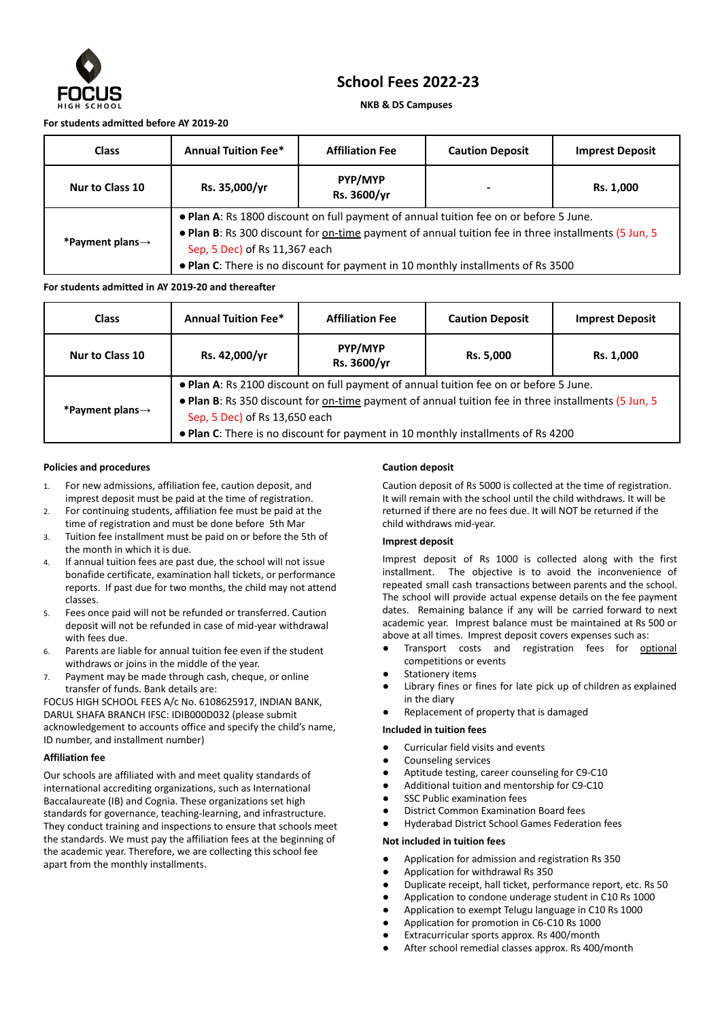

# **School Fees 2022-23**

## **NKB & DS Campuses**

## **For students admitted before AY 2019-20**

| <b>Class</b>                 | <b>Annual Tuition Fee*</b>                                                                                                                                                                                                                                                                                        | <b>Affiliation Fee</b> | <b>Caution Deposit</b> | <b>Imprest Deposit</b> |  |  |
|------------------------------|-------------------------------------------------------------------------------------------------------------------------------------------------------------------------------------------------------------------------------------------------------------------------------------------------------------------|------------------------|------------------------|------------------------|--|--|
| Nur to Class 10              | Rs. 35,000/yr                                                                                                                                                                                                                                                                                                     | PYP/MYP<br>Rs. 3600/yr |                        | Rs. 1,000              |  |  |
| *Payment plans $\rightarrow$ | . Plan A: Rs 1800 discount on full payment of annual tuition fee on or before 5 June.<br>. Plan B: Rs 300 discount for on-time payment of annual tuition fee in three installments (5 Jun, 5<br>Sep, 5 Dec) of Rs 11,367 each<br>• Plan C: There is no discount for payment in 10 monthly installments of Rs 3500 |                        |                        |                        |  |  |

## **For students admitted in AY 2019-20 and thereafter**

| <b>Class</b>                 | <b>Annual Tuition Fee*</b>                                                                                                                                                                                                                                                                                        | <b>Affiliation Fee</b> | <b>Caution Deposit</b> | <b>Imprest Deposit</b> |  |  |
|------------------------------|-------------------------------------------------------------------------------------------------------------------------------------------------------------------------------------------------------------------------------------------------------------------------------------------------------------------|------------------------|------------------------|------------------------|--|--|
| Nur to Class 10              | Rs. 42,000/yr                                                                                                                                                                                                                                                                                                     | PYP/MYP<br>Rs. 3600/yr | Rs. 5,000              | Rs. 1,000              |  |  |
| *Payment plans $\rightarrow$ | . Plan A: Rs 2100 discount on full payment of annual tuition fee on or before 5 June.<br>. Plan B: Rs 350 discount for on-time payment of annual tuition fee in three installments (5 Jun, 5<br>Sep, 5 Dec) of Rs 13,650 each<br>• Plan C: There is no discount for payment in 10 monthly installments of Rs 4200 |                        |                        |                        |  |  |

#### **Policies and procedures**

- 1. For new admissions, affiliation fee, caution deposit, and imprest deposit must be paid at the time of registration.
- 2. For continuing students, affiliation fee must be paid at the time of registration and must be done before 5th Mar
- 3. Tuition fee installment must be paid on or before the 5th of the month in which it is due.
- 4. If annual tuition fees are past due, the school will not issue bonafide certificate, examination hall tickets, or performance reports. If past due for two months, the child may not attend classes.
- 5. Fees once paid will not be refunded or transferred. Caution deposit will not be refunded in case of mid-year withdrawal with fees due.
- 6. Parents are liable for annual tuition fee even if the student withdraws or joins in the middle of the year.
- 7. Payment may be made through cash, cheque, or online transfer of funds. Bank details are:

FOCUS HIGH SCHOOL FEES A/c No. 6108625917, INDIAN BANK, DARUL SHAFA BRANCH IFSC: IDIB000D032 (please submit acknowledgement to accounts office and specify the child's name, ID number, and installment number)

## **Affiliation fee**

Our schools are affiliated with and meet quality standards of international accrediting organizations, such as International Baccalaureate (IB) and Cognia. These organizations set high standards for governance, teaching-learning, and infrastructure. They conduct training and inspections to ensure that schools meet the standards. We must pay the affiliation fees at the beginning of the academic year. Therefore, we are collecting this school fee apart from the monthly installments.

## **Caution deposit**

Caution deposit of Rs 5000 is collected at the time of registration. It will remain with the school until the child withdraws. It will be returned if there are no fees due. It will NOT be returned if the child withdraws mid-year.

## **Imprest deposit**

Imprest deposit of Rs 1000 is collected along with the first installment. The objective is to avoid the inconvenience of repeated small cash transactions between parents and the school. The school will provide actual expense details on the fee payment dates. Remaining balance if any will be carried forward to next academic year. Imprest balance must be maintained at Rs 500 or above at all times. Imprest deposit covers expenses such as:

- Transport costs and registration fees for optional competitions or events
- **Stationery items**
- Library fines or fines for late pick up of children as explained in the diary
- Replacement of property that is damaged

## **Included in tuition fees**

- Curricular field visits and events
- Counseling services
- Aptitude testing, career counseling for C9-C10
- Additional tuition and mentorship for C9-C10
- SSC Public examination fees
- **District Common Examination Board fees**
- **Hyderabad District School Games Federation fees**

## **Not included in tuition fees**

- Application for admission and registration Rs 350
- Application for withdrawal Rs 350
- Duplicate receipt, hall ticket, performance report, etc. Rs 50
- Application to condone underage student in C10 Rs 1000
- Application to exempt Telugu language in C10 Rs 1000
- Application for promotion in C6-C10 Rs 1000
- Extracurricular sports approx. Rs 400/month
- After school remedial classes approx. Rs 400/month